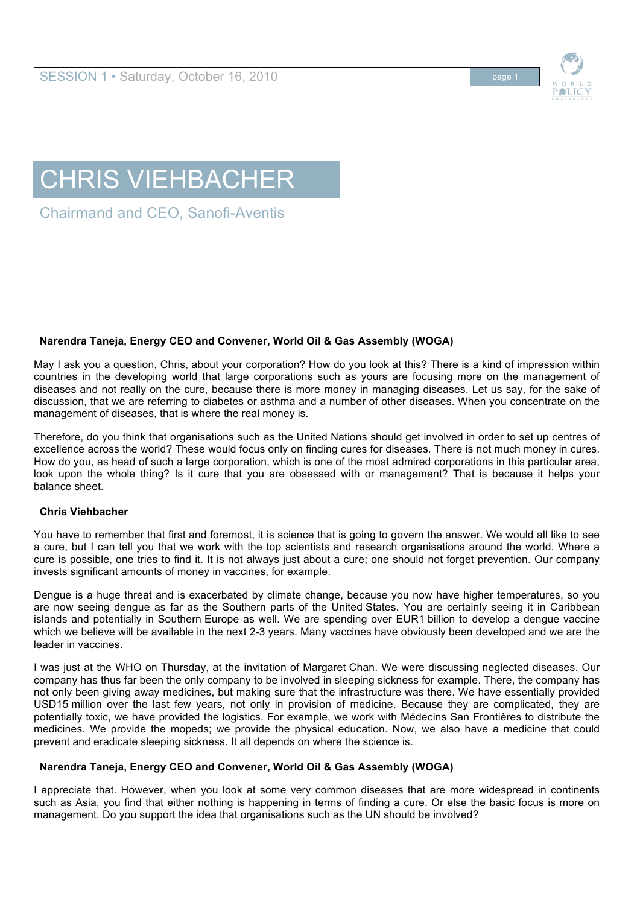

# CHRIS VIEHBACHER

Chairmand and CEO, Sanofi-Aventis

## **Narendra Taneja, Energy CEO and Convener, World Oil & Gas Assembly (WOGA)**

May I ask you a question, Chris, about your corporation? How do you look at this? There is a kind of impression within countries in the developing world that large corporations such as yours are focusing more on the management of diseases and not really on the cure, because there is more money in managing diseases. Let us say, for the sake of discussion, that we are referring to diabetes or asthma and a number of other diseases. When you concentrate on the management of diseases, that is where the real money is.

Therefore, do you think that organisations such as the United Nations should get involved in order to set up centres of excellence across the world? These would focus only on finding cures for diseases. There is not much money in cures. How do you, as head of such a large corporation, which is one of the most admired corporations in this particular area, look upon the whole thing? Is it cure that you are obsessed with or management? That is because it helps your balance sheet.

## **Chris Viehbacher**

You have to remember that first and foremost, it is science that is going to govern the answer. We would all like to see a cure, but I can tell you that we work with the top scientists and research organisations around the world. Where a cure is possible, one tries to find it. It is not always just about a cure; one should not forget prevention. Our company invests significant amounts of money in vaccines, for example.

Dengue is a huge threat and is exacerbated by climate change, because you now have higher temperatures, so you are now seeing dengue as far as the Southern parts of the United States. You are certainly seeing it in Caribbean islands and potentially in Southern Europe as well. We are spending over EUR1 billion to develop a dengue vaccine which we believe will be available in the next 2-3 years. Many vaccines have obviously been developed and we are the leader in vaccines.

I was just at the WHO on Thursday, at the invitation of Margaret Chan. We were discussing neglected diseases. Our company has thus far been the only company to be involved in sleeping sickness for example. There, the company has not only been giving away medicines, but making sure that the infrastructure was there. We have essentially provided USD15 million over the last few years, not only in provision of medicine. Because they are complicated, they are potentially toxic, we have provided the logistics. For example, we work with Médecins San Frontières to distribute the medicines. We provide the mopeds; we provide the physical education. Now, we also have a medicine that could prevent and eradicate sleeping sickness. It all depends on where the science is.

## **Narendra Taneja, Energy CEO and Convener, World Oil & Gas Assembly (WOGA)**

I appreciate that. However, when you look at some very common diseases that are more widespread in continents such as Asia, you find that either nothing is happening in terms of finding a cure. Or else the basic focus is more on management. Do you support the idea that organisations such as the UN should be involved?